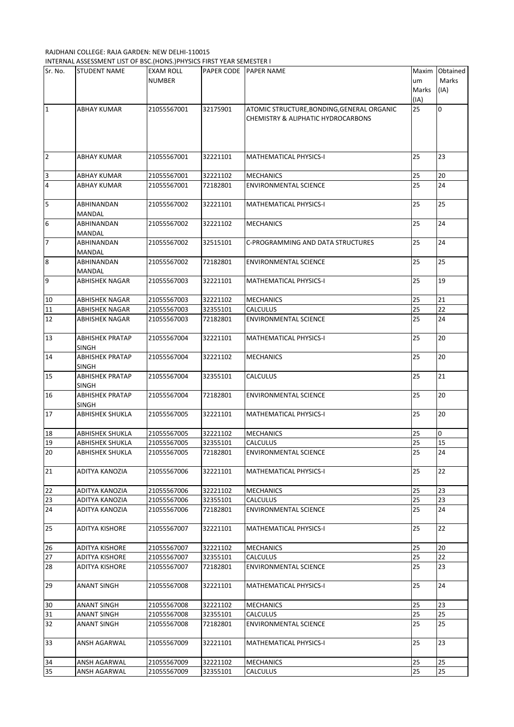## RAJDHANI COLLEGE: RAJA GARDEN: NEW DELHI-110015

INTERNAL ASSESSMENT LIST OF BSC.(HONS.)PHYSICS FIRST YEAR SEMESTER I

| Sr. No.          | <b>STUDENT NAME</b>    | <b>EXAM ROLL</b> |          | PAPER CODE PAPER NAME                      | Maxim | Obtained    |
|------------------|------------------------|------------------|----------|--------------------------------------------|-------|-------------|
|                  |                        | <b>NUMBER</b>    |          |                                            | um    | Marks       |
|                  |                        |                  |          |                                            | Marks | (IA)        |
|                  |                        |                  |          |                                            | (IA)  |             |
| $\overline{1}$   | <b>ABHAY KUMAR</b>     | 21055567001      | 32175901 | ATOMIC STRUCTURE, BONDING, GENERAL ORGANIC | 25    | $\mathbf 0$ |
|                  |                        |                  |          |                                            |       |             |
|                  |                        |                  |          | CHEMISTRY & ALIPHATIC HYDROCARBONS         |       |             |
|                  |                        |                  |          |                                            |       |             |
|                  |                        |                  |          |                                            |       |             |
|                  |                        |                  |          |                                            |       |             |
| $\overline{2}$   | <b>ABHAY KUMAR</b>     | 21055567001      | 32221101 | MATHEMATICAL PHYSICS-I                     | 25    | 23          |
|                  |                        |                  |          |                                            |       |             |
| 3                | <b>ABHAY KUMAR</b>     | 21055567001      | 32221102 | <b>MECHANICS</b>                           | 25    | 20          |
| $\overline{4}$   | ABHAY KUMAR            | 21055567001      | 72182801 | ENVIRONMENTAL SCIENCE                      | 25    | 24          |
|                  |                        |                  |          |                                            |       |             |
| 5                | ABHINANDAN             | 21055567002      | 32221101 | MATHEMATICAL PHYSICS-I                     | 25    | 25          |
|                  | MANDAL                 |                  |          |                                            |       |             |
| 6                | ABHINANDAN             | 21055567002      | 32221102 | <b>MECHANICS</b>                           | 25    | 24          |
|                  | MANDAL                 |                  |          |                                            |       |             |
| 7                | ABHINANDAN             | 21055567002      | 32515101 | C-PROGRAMMING AND DATA STRUCTURES          | 25    | 24          |
|                  | MANDAL                 |                  |          |                                            |       |             |
| $\boldsymbol{8}$ | ABHINANDAN             | 21055567002      | 72182801 | <b>ENVIRONMENTAL SCIENCE</b>               | 25    | 25          |
|                  | MANDAL                 |                  |          |                                            |       |             |
| 9                | <b>ABHISHEK NAGAR</b>  | 21055567003      | 32221101 | MATHEMATICAL PHYSICS-I                     | 25    | 19          |
|                  |                        |                  |          |                                            |       |             |
| 10               | <b>ABHISHEK NAGAR</b>  | 21055567003      | 32221102 | <b>MECHANICS</b>                           | 25    | 21          |
| 11               | ABHISHEK NAGAR         | 21055567003      | 32355101 | <b>CALCULUS</b>                            | 25    | 22          |
| 12               | ABHISHEK NAGAR         | 21055567003      | 72182801 | <b>ENVIRONMENTAL SCIENCE</b>               | 25    | 24          |
|                  |                        |                  |          |                                            |       |             |
| 13               | <b>ABHISHEK PRATAP</b> | 21055567004      | 32221101 | MATHEMATICAL PHYSICS-I                     | 25    | 20          |
|                  | <b>SINGH</b>           |                  |          |                                            |       |             |
| 14               |                        |                  |          |                                            |       |             |
|                  | <b>ABHISHEK PRATAP</b> | 21055567004      | 32221102 | <b>MECHANICS</b>                           | 25    | 20          |
|                  | <b>SINGH</b>           |                  |          |                                            |       |             |
| 15               | ABHISHEK PRATAP        | 21055567004      | 32355101 | CALCULUS                                   | 25    | 21          |
|                  | <b>SINGH</b>           |                  |          |                                            |       |             |
| 16               | <b>ABHISHEK PRATAP</b> | 21055567004      | 72182801 | <b>ENVIRONMENTAL SCIENCE</b>               | 25    | 20          |
|                  | <b>SINGH</b>           |                  |          |                                            |       |             |
| 17               | <b>ABHISHEK SHUKLA</b> | 21055567005      | 32221101 | <b>MATHEMATICAL PHYSICS-I</b>              | 25    | 20          |
|                  |                        |                  |          |                                            |       |             |
| 18               | <b>ABHISHEK SHUKLA</b> | 21055567005      | 32221102 | <b>MECHANICS</b>                           | 25    | 0           |
| 19               | ABHISHEK SHUKLA        | 21055567005      | 32355101 | <b>CALCULUS</b>                            | 25    | 15          |
| 20               | <b>ABHISHEK SHUKLA</b> | 21055567005      | 72182801 | ENVIRONMENTAL SCIENCE                      | 25    | 24          |
|                  |                        |                  |          |                                            |       |             |
| 21               | ADITYA KANOZIA         | 21055567006      | 32221101 | MATHEMATICAL PHYSICS-I                     | 25    | 22          |
|                  |                        |                  |          |                                            |       |             |
| 22               | ADITYA KANOZIA         | 21055567006      | 32221102 | <b>MECHANICS</b>                           | 25    | 23          |
| 23               | ADITYA KANOZIA         | 21055567006      | 32355101 | <b>CALCULUS</b>                            | 25    | 23          |
| 24               | ADITYA KANOZIA         | 21055567006      | 72182801 | <b>ENVIRONMENTAL SCIENCE</b>               | 25    | 24          |
|                  |                        |                  |          |                                            |       |             |
| 25               | ADITYA KISHORE         | 21055567007      | 32221101 | <b>MATHEMATICAL PHYSICS-I</b>              | 25    | 22          |
|                  |                        |                  |          |                                            |       |             |
| 26               | <b>ADITYA KISHORE</b>  | 21055567007      | 32221102 | <b>MECHANICS</b>                           | 25    | 20          |
| 27               | ADITYA KISHORE         | 21055567007      | 32355101 | <b>CALCULUS</b>                            | 25    | 22          |
| 28               | ADITYA KISHORE         | 21055567007      | 72182801 | <b>ENVIRONMENTAL SCIENCE</b>               | 25    | 23          |
|                  |                        |                  |          |                                            |       |             |
| 29               | ANANT SINGH            | 21055567008      | 32221101 | MATHEMATICAL PHYSICS-I                     | 25    | 24          |
|                  |                        |                  |          |                                            |       |             |
|                  | <b>ANANT SINGH</b>     | 21055567008      | 32221102 | <b>MECHANICS</b>                           | 25    | 23          |
| 30               |                        |                  |          |                                            | 25    | 25          |
| 31               | <b>ANANT SINGH</b>     | 21055567008      | 32355101 | CALCULUS                                   |       |             |
| 32               | ANANT SINGH            | 21055567008      | 72182801 | <b>ENVIRONMENTAL SCIENCE</b>               | 25    | 25          |
|                  |                        |                  |          |                                            |       |             |
| 33               | ANSH AGARWAL           | 21055567009      | 32221101 | MATHEMATICAL PHYSICS-I                     | 25    | 23          |
|                  |                        |                  |          |                                            |       |             |
| 34               | ANSH AGARWAL           | 21055567009      | 32221102 | <b>MECHANICS</b>                           | 25    | 25          |
| 35               | ANSH AGARWAL           | 21055567009      | 32355101 | CALCULUS                                   | 25    | 25          |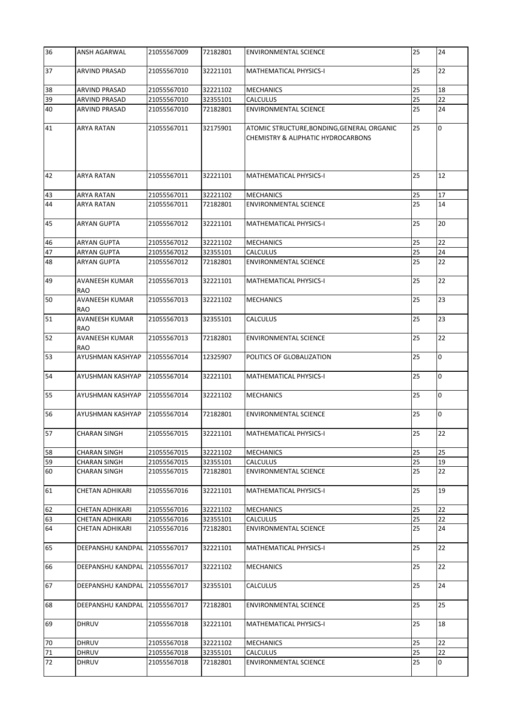| 36 | ANSH AGARWAL                        | 21055567009 | 72182801 | <b>ENVIRONMENTAL SCIENCE</b>                                                     | 25              | 24             |
|----|-------------------------------------|-------------|----------|----------------------------------------------------------------------------------|-----------------|----------------|
| 37 | <b>ARVIND PRASAD</b>                | 21055567010 | 32221101 | MATHEMATICAL PHYSICS-I                                                           | 25              | 22             |
| 38 | <b>ARVIND PRASAD</b>                | 21055567010 | 32221102 | <b>MECHANICS</b>                                                                 | 25              | 18             |
| 39 | ARVIND PRASAD                       | 21055567010 | 32355101 | <b>CALCULUS</b>                                                                  | $\overline{25}$ | 22             |
| 40 | <b>ARVIND PRASAD</b>                | 21055567010 | 72182801 | <b>ENVIRONMENTAL SCIENCE</b>                                                     | 25              | 24             |
| 41 | ARYA RATAN                          | 21055567011 | 32175901 | ATOMIC STRUCTURE, BONDING, GENERAL ORGANIC<br>CHEMISTRY & ALIPHATIC HYDROCARBONS | 25              | $\mathsf{O}$   |
| 42 | <b>ARYA RATAN</b>                   | 21055567011 | 32221101 | MATHEMATICAL PHYSICS-I                                                           | 25              | 12             |
| 43 | <b>ARYA RATAN</b>                   | 21055567011 | 32221102 | <b>MECHANICS</b>                                                                 | 25              | 17             |
| 44 | ARYA RATAN                          | 21055567011 | 72182801 | <b>ENVIRONMENTAL SCIENCE</b>                                                     | 25              | 14             |
| 45 | <b>ARYAN GUPTA</b>                  | 21055567012 | 32221101 | MATHEMATICAL PHYSICS-I                                                           | 25              | 20             |
| 46 | <b>ARYAN GUPTA</b>                  | 21055567012 | 32221102 | <b>MECHANICS</b>                                                                 | 25              | 22             |
| 47 | ARYAN GUPTA                         | 21055567012 | 32355101 | CALCULUS                                                                         | 25              | 24             |
| 48 | <b>ARYAN GUPTA</b>                  | 21055567012 | 72182801 | <b>ENVIRONMENTAL SCIENCE</b>                                                     | 25              | 22             |
| 49 | AVANEESH KUMAR<br><b>RAO</b>        | 21055567013 | 32221101 | <b>MATHEMATICAL PHYSICS-I</b>                                                    | 25              | 22             |
| 50 | <b>AVANEESH KUMAR</b><br><b>RAO</b> | 21055567013 | 32221102 | <b>MECHANICS</b>                                                                 | 25              | 23             |
| 51 | <b>AVANEESH KUMAR</b><br><b>RAO</b> | 21055567013 | 32355101 | <b>CALCULUS</b>                                                                  | 25              | 23             |
| 52 | AVANEESH KUMAR<br><b>RAO</b>        | 21055567013 | 72182801 | <b>ENVIRONMENTAL SCIENCE</b>                                                     | 25              | 22             |
| 53 | AYUSHMAN KASHYAP                    | 21055567014 | 12325907 | POLITICS OF GLOBALIZATION                                                        | 25              | 0              |
| 54 | AYUSHMAN KASHYAP                    | 21055567014 | 32221101 | MATHEMATICAL PHYSICS-I                                                           | 25              | $\overline{0}$ |
| 55 | AYUSHMAN KASHYAP                    | 21055567014 | 32221102 | <b>MECHANICS</b>                                                                 | 25              | $\mathbf 0$    |
| 56 | AYUSHMAN KASHYAP                    | 21055567014 | 72182801 | <b>ENVIRONMENTAL SCIENCE</b>                                                     | 25              | 0              |
| 57 | <b>CHARAN SINGH</b>                 | 21055567015 | 32221101 | MATHEMATICAL PHYSICS-I                                                           | 25              | 22             |
| 58 | <b>CHARAN SINGH</b>                 | 21055567015 | 32221102 | <b>MECHANICS</b>                                                                 | 25              | 25             |
| 59 | <b>CHARAN SINGH</b>                 | 21055567015 | 32355101 | <b>CALCULUS</b>                                                                  | 25              | 19             |
| 60 | CHARAN SINGH                        | 21055567015 | 72182801 | ENVIRONMENTAL SCIENCE                                                            | 25              | 22             |
| 61 | <b>CHETAN ADHIKARI</b>              | 21055567016 | 32221101 | MATHEMATICAL PHYSICS-I                                                           | 25              | 19             |
| 62 | <b>CHETAN ADHIKARI</b>              | 21055567016 | 32221102 | <b>MECHANICS</b>                                                                 | 25              | 22             |
| 63 | <b>CHETAN ADHIKARI</b>              | 21055567016 | 32355101 | <b>CALCULUS</b>                                                                  | 25              | 22             |
| 64 | <b>CHETAN ADHIKARI</b>              | 21055567016 | 72182801 | ENVIRONMENTAL SCIENCE                                                            | 25              | 24             |
| 65 | DEEPANSHU KANDPAL 21055567017       |             | 32221101 | MATHEMATICAL PHYSICS-I                                                           | 25              | 22             |
| 66 | DEEPANSHU KANDPAL 21055567017       |             | 32221102 | <b>MECHANICS</b>                                                                 | 25              | 22             |
| 67 | DEEPANSHU KANDPAL 21055567017       |             | 32355101 | <b>CALCULUS</b>                                                                  | 25              | 24             |
| 68 | DEEPANSHU KANDPAL 21055567017       |             | 72182801 | <b>ENVIRONMENTAL SCIENCE</b>                                                     | 25              | 25             |
| 69 | <b>DHRUV</b>                        | 21055567018 | 32221101 | MATHEMATICAL PHYSICS-I                                                           | 25              | 18             |
| 70 | <b>DHRUV</b>                        | 21055567018 | 32221102 | <b>MECHANICS</b>                                                                 | 25              | 22             |
| 71 | <b>DHRUV</b>                        | 21055567018 | 32355101 | <b>CALCULUS</b>                                                                  | 25              | 22             |
| 72 | DHRUV                               | 21055567018 | 72182801 | ENVIRONMENTAL SCIENCE                                                            | 25              | 0              |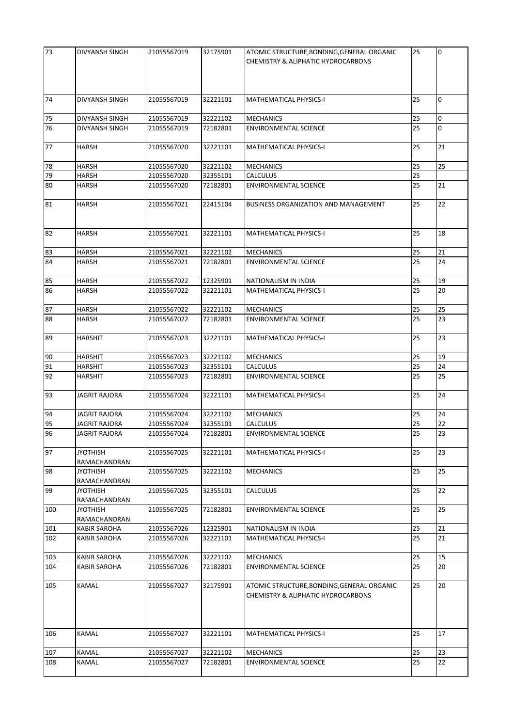| 73  | <b>DIVYANSH SINGH</b>           | 21055567019 | 32175901 | ATOMIC STRUCTURE, BONDING, GENERAL ORGANIC<br><b>CHEMISTRY &amp; ALIPHATIC HYDROCARBONS</b> | 25 | $\overline{0}$ |
|-----|---------------------------------|-------------|----------|---------------------------------------------------------------------------------------------|----|----------------|
| 74  | <b>DIVYANSH SINGH</b>           | 21055567019 | 32221101 | MATHEMATICAL PHYSICS-I                                                                      | 25 | 0              |
| 75  | DIVYANSH SINGH                  | 21055567019 | 32221102 | <b>MECHANICS</b>                                                                            | 25 | 0              |
| 76  | DIVYANSH SINGH                  | 21055567019 | 72182801 | <b>ENVIRONMENTAL SCIENCE</b>                                                                | 25 | $\overline{0}$ |
| 77  | <b>HARSH</b>                    | 21055567020 | 32221101 | MATHEMATICAL PHYSICS-I                                                                      | 25 | 21             |
| 78  | HARSH                           | 21055567020 | 32221102 | <b>MECHANICS</b>                                                                            | 25 | 25             |
| 79  | <b>HARSH</b>                    | 21055567020 | 32355101 | <b>CALCULUS</b>                                                                             | 25 |                |
| 80  | HARSH                           | 21055567020 | 72182801 | <b>ENVIRONMENTAL SCIENCE</b>                                                                | 25 | 21             |
| 81  | <b>HARSH</b>                    | 21055567021 | 22415104 | BUSINESS ORGANIZATION AND MANAGEMENT                                                        | 25 | 22             |
| 82  | <b>HARSH</b>                    | 21055567021 | 32221101 | MATHEMATICAL PHYSICS-I                                                                      | 25 | 18             |
| 83  | <b>HARSH</b>                    | 21055567021 | 32221102 | <b>MECHANICS</b>                                                                            | 25 | 21             |
| 84  | <b>HARSH</b>                    | 21055567021 | 72182801 | <b>ENVIRONMENTAL SCIENCE</b>                                                                | 25 | 24             |
| 85  | <b>HARSH</b>                    | 21055567022 | 12325901 | NATIONALISM IN INDIA                                                                        | 25 | 19             |
| 86  | HARSH                           | 21055567022 | 32221101 | <b>MATHEMATICAL PHYSICS-I</b>                                                               | 25 | 20             |
| 87  | <b>HARSH</b>                    | 21055567022 | 32221102 | <b>MECHANICS</b>                                                                            | 25 | 25             |
| 88  | <b>HARSH</b>                    | 21055567022 | 72182801 | <b>ENVIRONMENTAL SCIENCE</b>                                                                | 25 | 23             |
| 89  | HARSHIT                         | 21055567023 | 32221101 | MATHEMATICAL PHYSICS-I                                                                      | 25 | 23             |
| 90  | HARSHIT                         | 21055567023 | 32221102 | <b>MECHANICS</b>                                                                            | 25 | 19             |
| 91  | HARSHIT                         | 21055567023 | 32355101 | <b>CALCULUS</b>                                                                             | 25 | 24             |
| 92  | HARSHIT                         | 21055567023 | 72182801 | ENVIRONMENTAL SCIENCE                                                                       | 25 | 25             |
| 93  | JAGRIT RAJORA                   | 21055567024 | 32221101 | MATHEMATICAL PHYSICS-I                                                                      | 25 | 24             |
| 94  | JAGRIT RAJORA                   | 21055567024 | 32221102 | <b>MECHANICS</b>                                                                            | 25 | 24             |
| 95  | JAGRIT RAJORA                   | 21055567024 | 32355101 | <b>CALCULUS</b>                                                                             | 25 | 22             |
| 96  | <b>JAGRIT RAJORA</b>            | 21055567024 | 72182801 | ENVIRONMENTAL SCIENCE                                                                       | 25 | 23             |
| 97  | <b>JYOTHISH</b><br>RAMACHANDRAN | 21055567025 | 32221101 | MATHEMATICAL PHYSICS-I                                                                      | 25 | 23             |
| 98  | <b>JYOTHISH</b><br>RAMACHANDRAN | 21055567025 | 32221102 | <b>MECHANICS</b>                                                                            | 25 | 25             |
| 99  | <b>JYOTHISH</b><br>RAMACHANDRAN | 21055567025 | 32355101 | CALCULUS                                                                                    | 25 | 22             |
| 100 | <b>JYOTHISH</b><br>RAMACHANDRAN | 21055567025 | 72182801 | <b>ENVIRONMENTAL SCIENCE</b>                                                                | 25 | 25             |
| 101 | <b>KABIR SAROHA</b>             | 21055567026 | 12325901 | NATIONALISM IN INDIA                                                                        | 25 | 21             |
| 102 | KABIR SAROHA                    | 21055567026 | 32221101 | <b>MATHEMATICAL PHYSICS-I</b>                                                               | 25 | 21             |
| 103 | <b>KABIR SAROHA</b>             | 21055567026 | 32221102 | <b>MECHANICS</b>                                                                            | 25 | 15             |
| 104 | <b>KABIR SAROHA</b>             | 21055567026 | 72182801 | ENVIRONMENTAL SCIENCE                                                                       | 25 | 20             |
| 105 | KAMAL                           | 21055567027 | 32175901 | ATOMIC STRUCTURE, BONDING, GENERAL ORGANIC<br>CHEMISTRY & ALIPHATIC HYDROCARBONS            | 25 | 20             |
| 106 | KAMAL                           | 21055567027 | 32221101 | MATHEMATICAL PHYSICS-I                                                                      | 25 | 17             |
| 107 | KAMAL                           | 21055567027 | 32221102 | <b>MECHANICS</b>                                                                            | 25 | 23             |
| 108 | KAMAL                           | 21055567027 | 72182801 | ENVIRONMENTAL SCIENCE                                                                       | 25 | 22             |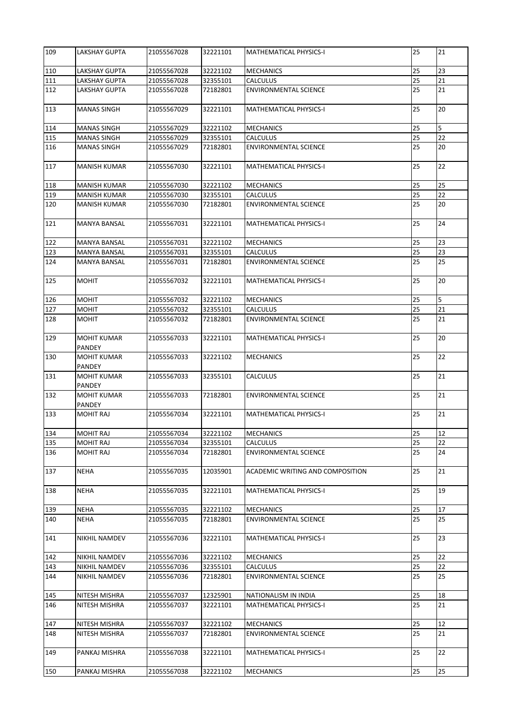| 109              | LAKSHAY GUPTA                | 21055567028 | 32221101 | MATHEMATICAL PHYSICS-I           | 25 | 21             |
|------------------|------------------------------|-------------|----------|----------------------------------|----|----------------|
| 110              | <b>LAKSHAY GUPTA</b>         | 21055567028 | 32221102 | <b>MECHANICS</b>                 | 25 | 23             |
| 111              | LAKSHAY GUPTA                | 21055567028 | 32355101 | <b>CALCULUS</b>                  | 25 | 21             |
| 112              | LAKSHAY GUPTA                | 21055567028 | 72182801 | <b>ENVIRONMENTAL SCIENCE</b>     | 25 | 21             |
| 113              | MANAS SINGH                  | 21055567029 | 32221101 | MATHEMATICAL PHYSICS-I           | 25 | 20             |
| 114              | <b>MANAS SINGH</b>           | 21055567029 | 32221102 | <b>MECHANICS</b>                 | 25 | 5              |
| 115              | MANAS SINGH                  | 21055567029 | 32355101 | <b>CALCULUS</b>                  | 25 | 22             |
| 116              | <b>MANAS SINGH</b>           | 21055567029 | 72182801 | <b>ENVIRONMENTAL SCIENCE</b>     | 25 | 20             |
| 117              | <b>MANISH KUMAR</b>          | 21055567030 | 32221101 | MATHEMATICAL PHYSICS-I           | 25 | 22             |
| 118              | <b>MANISH KUMAR</b>          | 21055567030 | 32221102 | <b>MECHANICS</b>                 | 25 | 25             |
| 119              | <b>MANISH KUMAR</b>          | 21055567030 | 32355101 | <b>CALCULUS</b>                  | 25 | 22             |
| 120              | MANISH KUMAR                 | 21055567030 | 72182801 | <b>ENVIRONMENTAL SCIENCE</b>     | 25 | 20             |
| 121              | <b>MANYA BANSAL</b>          | 21055567031 | 32221101 | <b>MATHEMATICAL PHYSICS-I</b>    | 25 | 24             |
| $\overline{122}$ | MANYA BANSAL                 | 21055567031 | 32221102 | <b>MECHANICS</b>                 | 25 | 23             |
| 123              | MANYA BANSAL                 | 21055567031 | 32355101 | <b>CALCULUS</b>                  | 25 | 23             |
| 124              | <b>MANYA BANSAL</b>          | 21055567031 | 72182801 | <b>ENVIRONMENTAL SCIENCE</b>     | 25 | 25             |
| 125              | <b>MOHIT</b>                 | 21055567032 | 32221101 | MATHEMATICAL PHYSICS-I           | 25 | 20             |
| 126              | <b>MOHIT</b>                 | 21055567032 | 32221102 | <b>MECHANICS</b>                 | 25 | $\overline{5}$ |
| 127              | <b>MOHIT</b>                 | 21055567032 | 32355101 | <b>CALCULUS</b>                  | 25 | 21             |
| 128              | MOHIT                        | 21055567032 | 72182801 | <b>ENVIRONMENTAL SCIENCE</b>     | 25 | 21             |
| 129              | <b>MOHIT KUMAR</b><br>PANDEY | 21055567033 | 32221101 | MATHEMATICAL PHYSICS-I           | 25 | 20             |
| 130              | MOHIT KUMAR<br><b>PANDEY</b> | 21055567033 | 32221102 | <b>MECHANICS</b>                 | 25 | 22             |
| 131              | MOHIT KUMAR<br>PANDEY        | 21055567033 | 32355101 | <b>CALCULUS</b>                  | 25 | 21             |
| 132              | <b>MOHIT KUMAR</b><br>PANDEY | 21055567033 | 72182801 | <b>ENVIRONMENTAL SCIENCE</b>     | 25 | 21             |
| 133              | MOHIT RAJ                    | 21055567034 | 32221101 | <b>MATHEMATICAL PHYSICS-I</b>    | 25 | 21             |
| 134              | <b>MOHIT RAJ</b>             | 21055567034 | 32221102 | MECHANICS                        | 25 | $12\,$         |
| 135              | MOHIT RAJ                    | 21055567034 | 32355101 | <b>CALCULUS</b>                  | 25 | 22             |
| 136              | MOHIT RAJ                    | 21055567034 | 72182801 | <b>ENVIRONMENTAL SCIENCE</b>     | 25 | 24             |
| 137              | NEHA                         | 21055567035 | 12035901 | ACADEMIC WRITING AND COMPOSITION | 25 | 21             |
| 138              | <b>NEHA</b>                  | 21055567035 | 32221101 | MATHEMATICAL PHYSICS-I           | 25 | 19             |
| 139              | NEHA                         | 21055567035 | 32221102 | <b>MECHANICS</b>                 | 25 | $17\,$         |
| 140              | <b>NEHA</b>                  | 21055567035 | 72182801 | ENVIRONMENTAL SCIENCE            | 25 | 25             |
| 141              | NIKHIL NAMDEV                | 21055567036 | 32221101 | MATHEMATICAL PHYSICS-I           | 25 | 23             |
| 142              | NIKHIL NAMDEV                | 21055567036 | 32221102 | <b>MECHANICS</b>                 | 25 | 22             |
| 143              | NIKHIL NAMDEV                | 21055567036 | 32355101 | <b>CALCULUS</b>                  | 25 | 22             |
| 144              | NIKHIL NAMDEV                | 21055567036 | 72182801 | ENVIRONMENTAL SCIENCE            | 25 | 25             |
| 145              | NITESH MISHRA                | 21055567037 | 12325901 | NATIONALISM IN INDIA             | 25 | 18             |
| 146              | NITESH MISHRA                | 21055567037 | 32221101 | MATHEMATICAL PHYSICS-I           | 25 | 21             |
| 147              | NITESH MISHRA                | 21055567037 | 32221102 | <b>MECHANICS</b>                 | 25 | 12             |
| 148              | NITESH MISHRA                | 21055567037 | 72182801 | ENVIRONMENTAL SCIENCE            | 25 | 21             |
| 149              | PANKAJ MISHRA                | 21055567038 | 32221101 | MATHEMATICAL PHYSICS-I           | 25 | 22             |
| 150              | PANKAJ MISHRA                | 21055567038 | 32221102 | <b>MECHANICS</b>                 | 25 | 25             |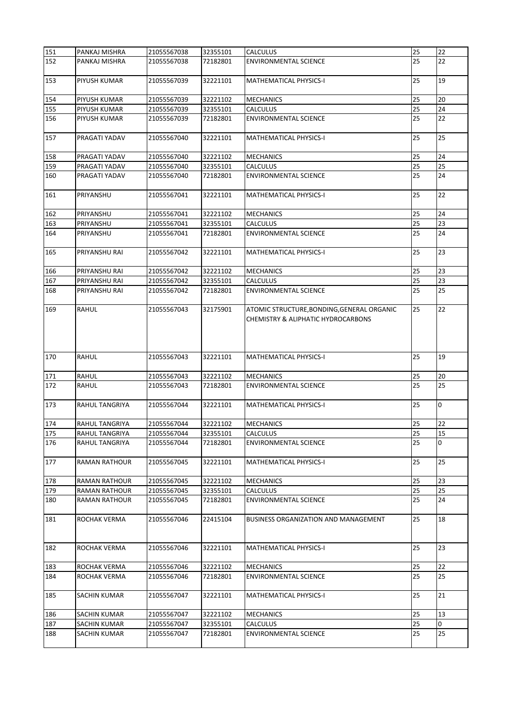| 151        | PANKAJ MISHRA                  | 21055567038                | 32355101             | <b>CALCULUS</b>                                                                             | 25              | 22              |
|------------|--------------------------------|----------------------------|----------------------|---------------------------------------------------------------------------------------------|-----------------|-----------------|
| 152        | PANKAJ MISHRA                  | 21055567038                | 72182801             | <b>ENVIRONMENTAL SCIENCE</b>                                                                | 25              | 22              |
| 153        | PIYUSH KUMAR                   | 21055567039                | 32221101             | MATHEMATICAL PHYSICS-I                                                                      | 25              | 19              |
| 154        | PIYUSH KUMAR                   | 21055567039                | 32221102             | <b>MECHANICS</b>                                                                            | 25              | 20              |
| 155        | PIYUSH KUMAR                   | 21055567039                | 32355101             | <b>CALCULUS</b>                                                                             | 25              | 24              |
| 156        | PIYUSH KUMAR                   | 21055567039                | 72182801             | <b>ENVIRONMENTAL SCIENCE</b>                                                                | 25              | 22              |
| 157        | PRAGATI YADAV                  | 21055567040                | 32221101             | MATHEMATICAL PHYSICS-I                                                                      | 25              | 25              |
| 158        | PRAGATI YADAV                  | 21055567040<br>21055567040 | 32221102<br>32355101 | <b>MECHANICS</b><br><b>CALCULUS</b>                                                         | 25<br>25        | 24<br>25        |
| 159<br>160 | PRAGATI YADAV<br>PRAGATI YADAV | 21055567040                | 72182801             | ENVIRONMENTAL SCIENCE                                                                       | 25              | 24              |
|            |                                |                            |                      |                                                                                             |                 |                 |
| 161        | PRIYANSHU                      | 21055567041                | 32221101             | MATHEMATICAL PHYSICS-I                                                                      | 25              | 22              |
| 162        | PRIYANSHU                      | 21055567041                | 32221102             | <b>MECHANICS</b>                                                                            | 25              | 24              |
| 163        | PRIYANSHU                      | 21055567041                | 32355101             | <b>CALCULUS</b>                                                                             | 25              | 23              |
| 164        | PRIYANSHU                      | 21055567041                | 72182801             | <b>ENVIRONMENTAL SCIENCE</b>                                                                | 25              | 24              |
| 165        | PRIYANSHU RAI                  | 21055567042                | 32221101             | MATHEMATICAL PHYSICS-I                                                                      | 25              | 23              |
| 166        | PRIYANSHU RAI                  | 21055567042                | 32221102             | <b>MECHANICS</b>                                                                            | 25              | 23              |
| 167        | PRIYANSHU RAI                  | 21055567042                | 32355101             | <b>CALCULUS</b>                                                                             | 25              | 23              |
| 168        | PRIYANSHU RAI                  | 21055567042                | 72182801             | <b>ENVIRONMENTAL SCIENCE</b>                                                                | 25              | 25              |
| 169        | RAHUL                          | 21055567043                | 32175901             | ATOMIC STRUCTURE, BONDING, GENERAL ORGANIC<br><b>CHEMISTRY &amp; ALIPHATIC HYDROCARBONS</b> | 25              | 22              |
| 170        | <b>RAHUL</b>                   | 21055567043                | 32221101             | MATHEMATICAL PHYSICS-I                                                                      | 25              | 19              |
| 171        | <b>RAHUL</b>                   | 21055567043                | 32221102             | <b>MECHANICS</b>                                                                            | 25              | 20              |
| 172        | <b>RAHUL</b>                   | 21055567043                | 72182801             | <b>ENVIRONMENTAL SCIENCE</b>                                                                | 25              | 25              |
| 173        | <b>RAHUL TANGRIYA</b>          | 21055567044                | 32221101             | MATHEMATICAL PHYSICS-I                                                                      | 25              | 0               |
| 174        | <b>RAHUL TANGRIYA</b>          | 21055567044                | 32221102             | <b>MECHANICS</b>                                                                            | 25              | 22              |
| 175        | RAHUL TANGRIYA                 | 21055567044                | 32355101             | CALCULUS                                                                                    | $\overline{25}$ | 15              |
| 176        | RAHUL TANGRIYA                 | 21055567044                | 72182801             | ENVIRONMENTAL SCIENCE                                                                       | 25              | 0               |
| 177        | RAMAN RATHOUR                  | 21055567045                | 32221101             | MATHEMATICAL PHYSICS-I                                                                      | 25              | 25              |
| 178        | RAMAN RATHOUR                  | 21055567045                | 32221102             | <b>MECHANICS</b>                                                                            | 25              | 23              |
| 179        | <b>RAMAN RATHOUR</b>           | 21055567045                | 32355101             | <b>CALCULUS</b>                                                                             | 25              | $\overline{25}$ |
| 180        | <b>RAMAN RATHOUR</b>           | 21055567045                | 72182801             | <b>ENVIRONMENTAL SCIENCE</b>                                                                | 25              | 24              |
| 181        | ROCHAK VERMA                   | 21055567046                | 22415104             | BUSINESS ORGANIZATION AND MANAGEMENT                                                        | 25              | 18              |
| 182        | ROCHAK VERMA                   | 21055567046                | 32221101             | MATHEMATICAL PHYSICS-I                                                                      | 25              | 23              |
| 183        | ROCHAK VERMA                   | 21055567046                | 32221102             | <b>MECHANICS</b>                                                                            | 25              | 22              |
| 184        | ROCHAK VERMA                   | 21055567046                | 72182801             | ENVIRONMENTAL SCIENCE                                                                       | 25              | 25              |
| 185        | SACHIN KUMAR                   | 21055567047                | 32221101             | MATHEMATICAL PHYSICS-I                                                                      | 25              | 21              |
| 186        | SACHIN KUMAR                   | 21055567047                | 32221102             | <b>MECHANICS</b>                                                                            | 25              | 13              |
| 187        | SACHIN KUMAR                   | 21055567047                | 32355101             | <b>CALCULUS</b>                                                                             | 25              | 0               |
| 188        | SACHIN KUMAR                   | 21055567047                | 72182801             | <b>ENVIRONMENTAL SCIENCE</b>                                                                | 25              | 25              |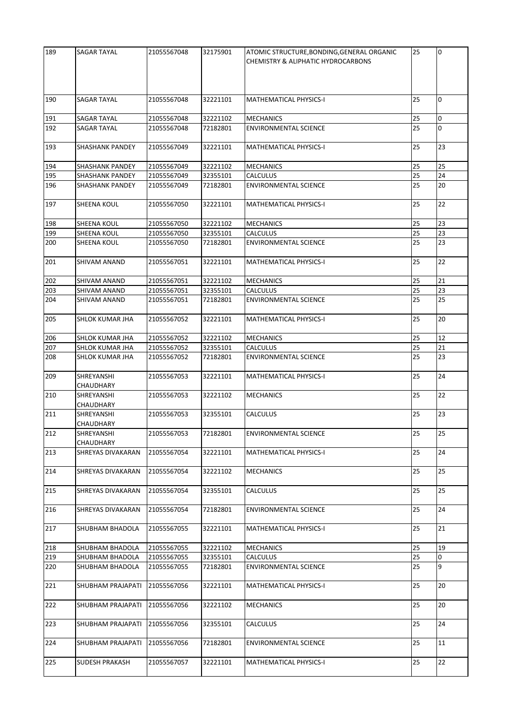| 189 | SAGAR TAYAL             | 21055567048 | 32175901 | ATOMIC STRUCTURE, BONDING, GENERAL ORGANIC<br>CHEMISTRY & ALIPHATIC HYDROCARBONS | 25 | $\overline{0}$ |
|-----|-------------------------|-------------|----------|----------------------------------------------------------------------------------|----|----------------|
| 190 | SAGAR TAYAL             | 21055567048 | 32221101 | MATHEMATICAL PHYSICS-I                                                           | 25 | 0              |
| 191 | SAGAR TAYAL             | 21055567048 | 32221102 | <b>MECHANICS</b>                                                                 | 25 | 0              |
| 192 | SAGAR TAYAL             | 21055567048 | 72182801 | <b>ENVIRONMENTAL SCIENCE</b>                                                     | 25 | 0              |
| 193 | <b>SHASHANK PANDEY</b>  | 21055567049 | 32221101 | MATHEMATICAL PHYSICS-I                                                           | 25 | 23             |
| 194 | <b>SHASHANK PANDEY</b>  | 21055567049 | 32221102 | <b>MECHANICS</b>                                                                 | 25 | 25             |
| 195 | <b>SHASHANK PANDEY</b>  | 21055567049 | 32355101 | <b>CALCULUS</b>                                                                  | 25 | 24             |
| 196 | <b>SHASHANK PANDEY</b>  | 21055567049 | 72182801 | <b>ENVIRONMENTAL SCIENCE</b>                                                     | 25 | 20             |
| 197 | SHEENA KOUL             | 21055567050 | 32221101 | MATHEMATICAL PHYSICS-I                                                           | 25 | 22             |
| 198 | SHEENA KOUL             | 21055567050 | 32221102 | <b>MECHANICS</b>                                                                 | 25 | 23             |
| 199 | SHEENA KOUL             | 21055567050 | 32355101 | <b>CALCULUS</b>                                                                  | 25 | 23             |
| 200 | SHEENA KOUL             | 21055567050 | 72182801 | <b>ENVIRONMENTAL SCIENCE</b>                                                     | 25 | 23             |
| 201 | <b>SHIVAM ANAND</b>     | 21055567051 | 32221101 | MATHEMATICAL PHYSICS-I                                                           | 25 | 22             |
| 202 | SHIVAM ANAND            | 21055567051 | 32221102 | <b>MECHANICS</b>                                                                 | 25 | 21             |
| 203 | SHIVAM ANAND            | 21055567051 | 32355101 | CALCULUS                                                                         | 25 | 23             |
| 204 | SHIVAM ANAND            | 21055567051 | 72182801 | <b>ENVIRONMENTAL SCIENCE</b>                                                     | 25 | 25             |
| 205 | SHLOK KUMAR JHA         | 21055567052 | 32221101 | MATHEMATICAL PHYSICS-I                                                           | 25 | 20             |
| 206 | SHLOK KUMAR JHA         | 21055567052 | 32221102 | <b>MECHANICS</b>                                                                 | 25 | 12             |
| 207 | SHLOK KUMAR JHA         | 21055567052 | 32355101 | <b>CALCULUS</b>                                                                  | 25 | 21             |
| 208 | SHLOK KUMAR JHA         | 21055567052 | 72182801 | ENVIRONMENTAL SCIENCE                                                            | 25 | 23             |
| 209 | SHREYANSHI<br>CHAUDHARY | 21055567053 | 32221101 | MATHEMATICAL PHYSICS-I                                                           | 25 | 24             |
| 210 | SHREYANSHI<br>CHAUDHARY | 21055567053 | 32221102 | <b>MECHANICS</b>                                                                 | 25 | 22             |
| 211 | SHREYANSHI<br>CHAUDHARY | 21055567053 | 32355101 | <b>CALCULUS</b>                                                                  | 25 | 23             |
| 212 | SHREYANSHI<br>CHAUDHARY | 21055567053 | 72182801 | ENVIRONMENTAL SCIENCE                                                            | 25 | 25             |
| 213 | SHREYAS DIVAKARAN       | 21055567054 | 32221101 | MATHEMATICAL PHYSICS-I                                                           | 25 | 24             |
| 214 | SHREYAS DIVAKARAN       | 21055567054 | 32221102 | <b>MECHANICS</b>                                                                 | 25 | 25             |
| 215 | SHREYAS DIVAKARAN       | 21055567054 | 32355101 | <b>CALCULUS</b>                                                                  | 25 | 25             |
| 216 | SHREYAS DIVAKARAN       | 21055567054 | 72182801 | <b>ENVIRONMENTAL SCIENCE</b>                                                     | 25 | 24             |
| 217 | SHUBHAM BHADOLA         | 21055567055 | 32221101 | MATHEMATICAL PHYSICS-I                                                           | 25 | 21             |
| 218 | SHUBHAM BHADOLA         | 21055567055 | 32221102 | <b>MECHANICS</b>                                                                 | 25 | 19             |
| 219 | SHUBHAM BHADOLA         | 21055567055 | 32355101 | <b>CALCULUS</b>                                                                  | 25 | 0              |
| 220 | SHUBHAM BHADOLA         | 21055567055 | 72182801 | ENVIRONMENTAL SCIENCE                                                            | 25 | 9              |
| 221 | SHUBHAM PRAJAPATI       | 21055567056 | 32221101 | MATHEMATICAL PHYSICS-I                                                           | 25 | 20             |
| 222 | SHUBHAM PRAJAPATI       | 21055567056 | 32221102 | <b>MECHANICS</b>                                                                 | 25 | 20             |
| 223 | SHUBHAM PRAJAPATI       | 21055567056 | 32355101 | CALCULUS                                                                         | 25 | 24             |
| 224 | SHUBHAM PRAJAPATI       | 21055567056 | 72182801 | <b>ENVIRONMENTAL SCIENCE</b>                                                     | 25 | 11             |
| 225 | <b>SUDESH PRAKASH</b>   | 21055567057 | 32221101 | MATHEMATICAL PHYSICS-I                                                           | 25 | 22             |